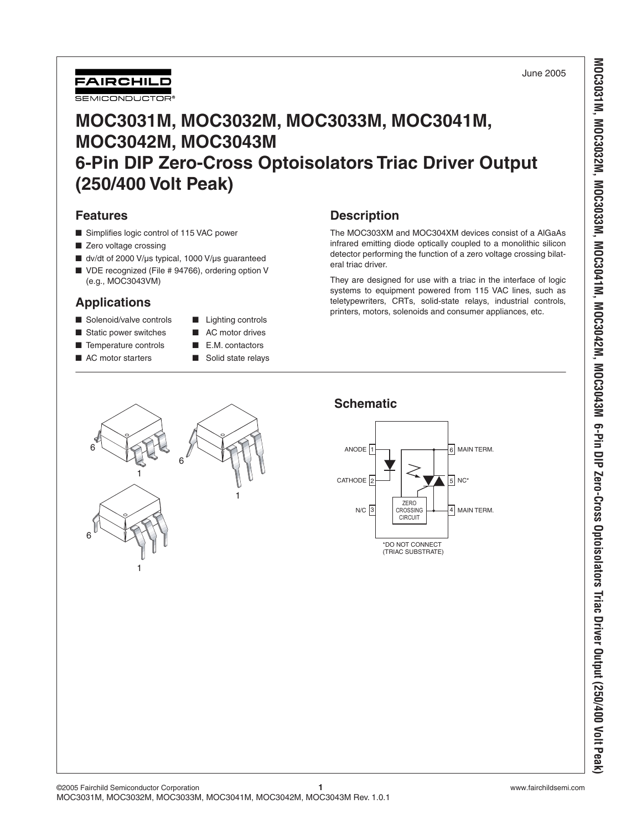**MOC3031M, MOC3032M, MOC3033M, MOC3041M, MOC3042M, MOC3043M 6-Pin DIP Zero-Cross Optoisolators Triac Driver Output (250/400 Volt Peak)**

MOC3031M, MOC3032M, MOC3033M, MOC3041M, MOC3042M, MOC3043M 6-Pin DIP Zero-Cross Optoisolators Triac Driver Output (250/400 Volt Peak



# **MOC3031M, MOC3032M, MOC3033M, MOC3041M, MOC3042M, MOC3043M 6-Pin DIP Zero-Cross Optoisolators Triac Driver Output (250/400 Volt Peak)**

### **Features**

- Simplifies logic control of 115 VAC power
- Zero voltage crossing
- dv/dt of 2000 V/µs typical, 1000 V/µs guaranteed
- VDE recognized (File # 94766), ordering option V (e.g., MOC3043VM)

## **Applications**

- Solenoid/valve controls Lighting controls
- Static power switches AC motor drives
- Temperature controls E.M. contactors
- 
- 
- 
- AC motor starters Solid state relays

## **Description**

The MOC303XM and MOC304XM devices consist of a AlGaAs infrared emitting diode optically coupled to a monolithic silicon detector performing the function of a zero voltage crossing bilateral triac driver.

They are designed for use with a triac in the interface of logic systems to equipment powered from 115 VAC lines, such as teletypewriters, CRTs, solid-state relays, industrial controls, printers, motors, solenoids and consumer appliances, etc.

## **Schematic**





1

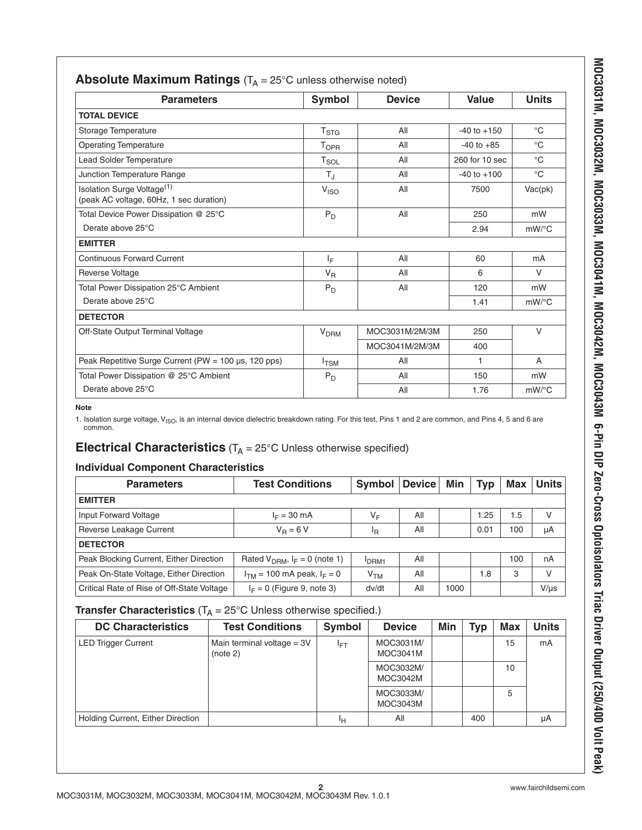| <b>Parameters</b>                                                                 | <b>Symbol</b>          | <b>Device</b>  | Value           | <b>Units</b>   |
|-----------------------------------------------------------------------------------|------------------------|----------------|-----------------|----------------|
| <b>TOTAL DEVICE</b>                                                               |                        |                |                 |                |
| Storage Temperature                                                               | T <sub>STG</sub>       | All            | $-40$ to $+150$ | $^{\circ}C$    |
| <b>Operating Temperature</b>                                                      | T <sub>OPR</sub>       | All            | $-40$ to $+85$  | $^{\circ}$ C   |
| Lead Solder Temperature                                                           | $T_{SOL}$              | All            | 260 for 10 sec  | $^{\circ}C$    |
| Junction Temperature Range                                                        | $T_{\rm J}$            | All            | $-40$ to $+100$ | $^{\circ}C$    |
| Isolation Surge Voltage <sup>(1)</sup><br>(peak AC voltage, 60Hz, 1 sec duration) | V <sub>ISO</sub>       | All            | 7500            | Vac(pk)        |
| Total Device Power Dissipation @ 25°C                                             | $P_D$                  | All            | 250             | mW             |
| Derate above 25°C                                                                 |                        |                | 2.94            | $mW$ /°C       |
| <b>EMITTER</b>                                                                    |                        |                |                 |                |
| <b>Continuous Forward Current</b>                                                 | ΙF                     | All            | 60              | m <sub>A</sub> |
| <b>Reverse Voltage</b>                                                            | $V_R$                  | All            | 6               | $\vee$         |
| Total Power Dissipation 25°C Ambient                                              | $P_D$                  | All            | 120             | mW             |
| Derate above 25°C                                                                 |                        |                | 1.41            | $mW$ /°C       |
| <b>DETECTOR</b>                                                                   |                        |                |                 |                |
| Off-State Output Terminal Voltage                                                 | <b>V<sub>DRM</sub></b> | MOC3031M/2M/3M | 250             | $\vee$         |
|                                                                                   |                        | MOC3041M/2M/3M | 400             |                |
| Peak Repetitive Surge Current (PW = $100 \mu s$ , 120 pps)                        | $I_{\text{TSM}}$       | All            | 1               | A              |
| Total Power Dissipation @ 25°C Ambient                                            | $P_D$                  | All            | 150             | mW             |
| Derate above 25°C                                                                 |                        | All            | 1.76            | $mW$ /°C       |

### **Absolute Maximum Ratings** (T<sub>A</sub> = 25°C unless otherwise noted)

#### **Note**

1. Isolation surge voltage, V<sub>ISO</sub>, is an internal device dielectric breakdown rating. For this test, Pins 1 and 2 are common, and Pins 4, 5 and 6 are common.

# **Electrical Characteristics**  $(T_A = 25^{\circ}C$  Unless otherwise specified)

### **Individual Component Characteristics**

| <b>Parameters</b>                          | <b>Test Conditions</b><br><b>Symbol</b> |                            | <b>Device</b> | Min  | Tvp  | Max | <b>Units</b> |
|--------------------------------------------|-----------------------------------------|----------------------------|---------------|------|------|-----|--------------|
| <b>EMITTER</b>                             |                                         |                            |               |      |      |     |              |
| Input Forward Voltage                      | $I_F = 30$ mA                           | ٧F                         | All           |      | 1.25 | 1.5 | v            |
| Reverse Leakage Current                    | $V_B = 6 V$                             | <sup>I</sup> R             | All           |      | 0.01 | 100 | μA           |
| <b>DETECTOR</b>                            |                                         |                            |               |      |      |     |              |
| Peak Blocking Current, Either Direction    | Rated $V_{DBM}$ , $I_F = 0$ (note 1)    | <b>DRM1</b>                | All           |      |      | 100 | nA           |
| Peak On-State Voltage, Either Direction    | $I_{TM}$ = 100 mA peak, $I_F = 0$       | $\mathsf{v}_{\mathsf{TM}}$ | All           |      | 1.8  | 3   | v            |
| Critical Rate of Rise of Off-State Voltage | $I_F = 0$ (Figure 9, note 3)            | dv/dt                      | All           | 1000 |      |     | $V/\mu s$    |

### **Transfer Characteristics** ( $T_A = 25^\circ$ C Unless otherwise specified.)

| <b>DC Characteristics</b>                | <b>Test Conditions</b>                   | <b>Symbol</b>   | <b>Device</b>         | Min | Typ | <b>Max</b> | <b>Units</b> |
|------------------------------------------|------------------------------------------|-----------------|-----------------------|-----|-----|------------|--------------|
| <b>LED Trigger Current</b>               | Main terminal voltage = $3V$<br>(note 2) | l <sub>ET</sub> | MOC3031M/<br>MOC3041M |     |     | 15         | mA           |
|                                          |                                          |                 | MOC3032M/<br>MOC3042M |     |     | 10         |              |
|                                          |                                          |                 | MOC3033M/<br>MOC3043M |     |     | 5          |              |
| <b>Holding Current, Either Direction</b> |                                          | ŀн              | All                   |     | 400 |            | μA           |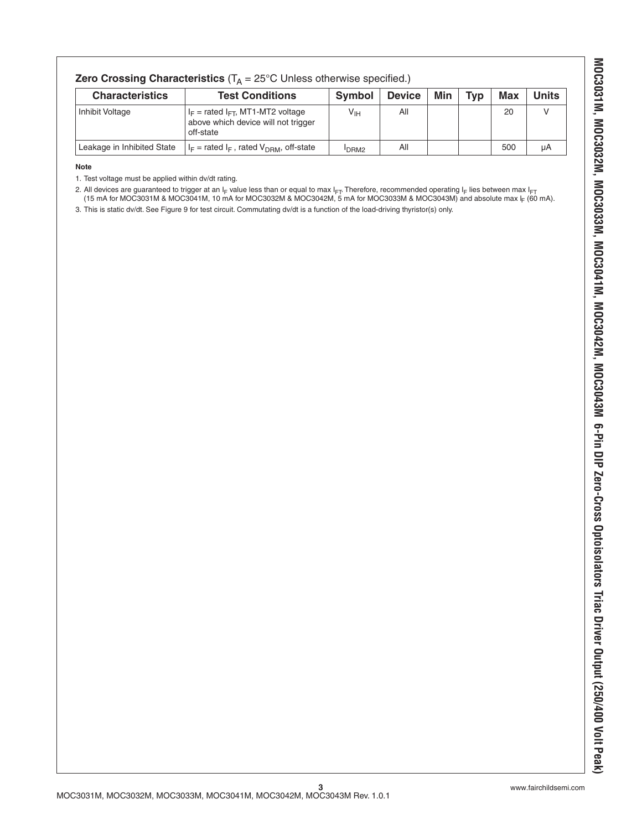| <b>Zero Crossing Characteristics</b> ( $T_A = 25^{\circ}$ C Unless otherwise specified.) |                                                                                              |                  |               |     |     |            |              |
|------------------------------------------------------------------------------------------|----------------------------------------------------------------------------------------------|------------------|---------------|-----|-----|------------|--------------|
| <b>Characteristics</b>                                                                   | <b>Test Conditions</b>                                                                       | Symbol           | <b>Device</b> | Min | Tvp | <b>Max</b> | <b>Units</b> |
| Inhibit Voltage                                                                          | $I_F$ = rated $I_{FT}$ , MT1-MT2 voltage<br>above which device will not trigger<br>off-state | $V_{\text{IH}}$  | All           |     |     | 20         | v            |
| Leakage in Inhibited State                                                               | $ I_F $ = rated $I_F$ , rated $V_{DRM}$ , off-state                                          | DRM <sub>2</sub> | All           |     |     | 500        | μA           |

#### **Note**

1. Test voltage must be applied within dv/dt rating.

2. All devices are guaranteed to trigger at an IF value less than or equal to max IFT. Therefore, recommended operating IF lies between max IFT (15 mA for MOC3031M & MOC3041M, 10 mA for MOC3032M & MOC3042M, 5 mA for MOC3033M & MOC3043M) and absolute max  $\vert$ <sub>F</sub> (60 mA).

3. This is static dv/dt. See Figure 9 for test circuit. Commutating dv/dt is a function of the load-driving thyristor(s) only.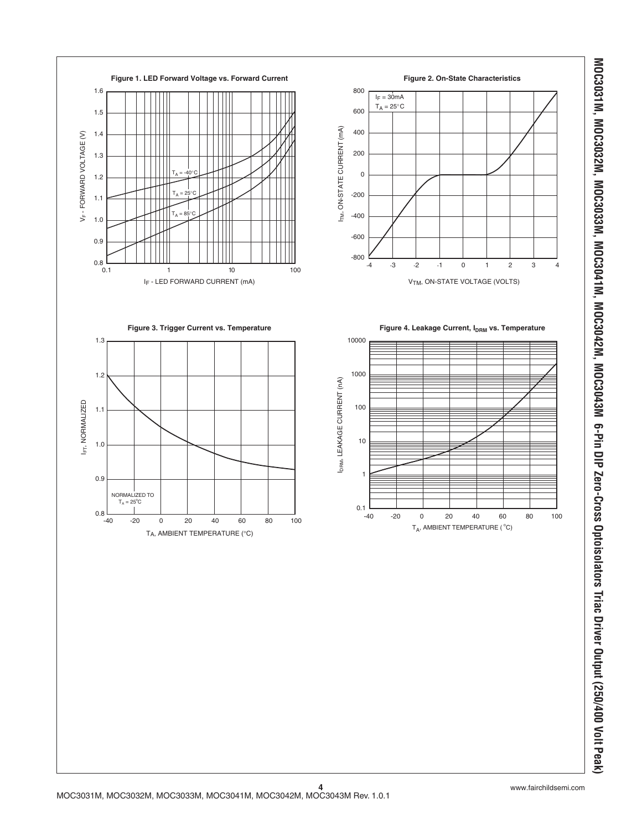

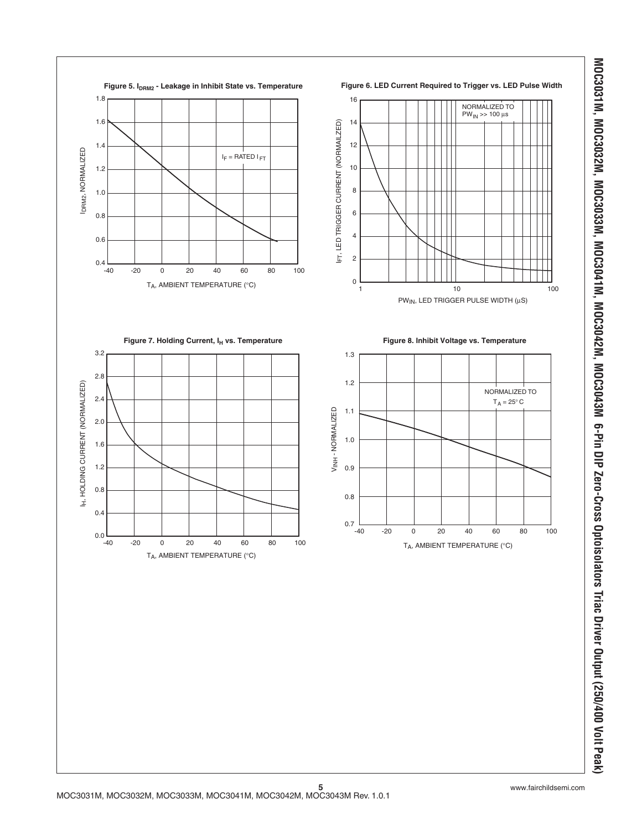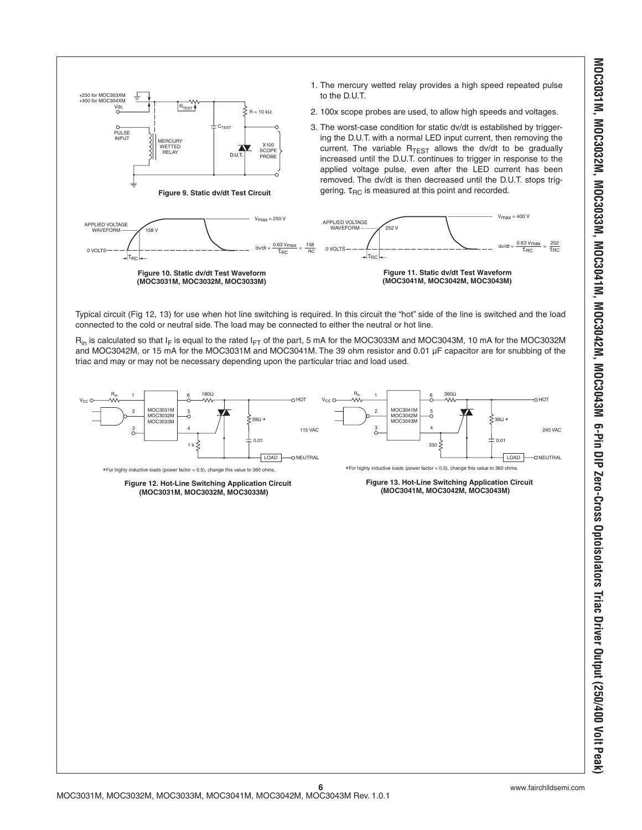

Typical circuit (Fig 12, 13) for use when hot line switching is required. In this circuit the "hot" side of the line is switched and the load connected to the cold or neutral side. The load may be connected to either the neutral or hot line.

 $R_{in}$  is calculated so that I<sub>F</sub> is equal to the rated I<sub>FT</sub> of the part, 5 mA for the MOC3033M and MOC3043M, 10 mA for the MOC3032M and MOC3042M, or 15 mA for the MOC3031M and MOC3041M. The 39 ohm resistor and 0.01 µF capacitor are for snubbing of the triac and may or may not be necessary depending upon the particular triac and load used.

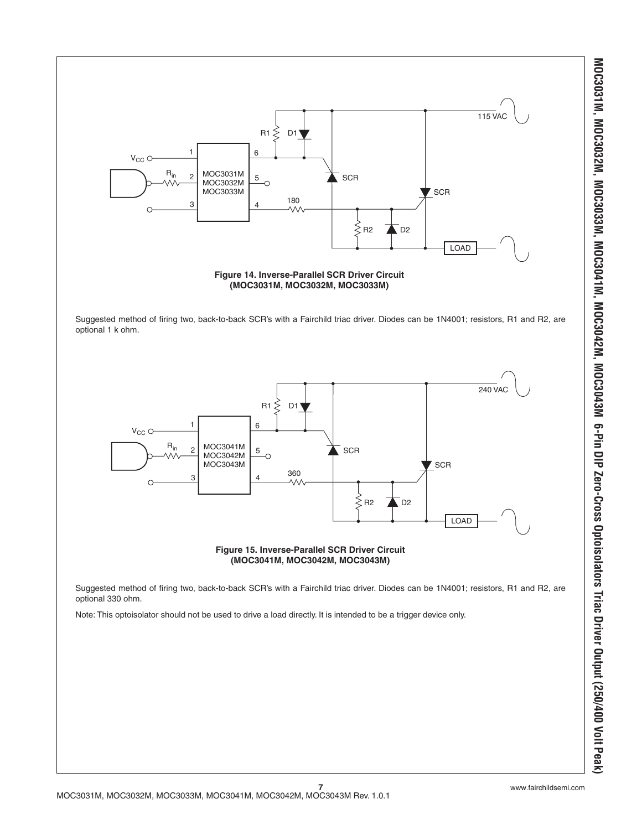

MOC3031M, MOC3032M, MOC3033M, MOC3041M, MOC3042M, MOC3043M 6-Pin DIP Zero-Cross Optoisolators Triac Driver Output (250/400 Volt Peak) **MOC3031M, MOC3032M, MOC3033M, MOC3041M, MOC3042M, MOC3043M 6-Pin DIP Zero-Cross Optoisolators Triac Driver Output (250/400 Volt Peak)**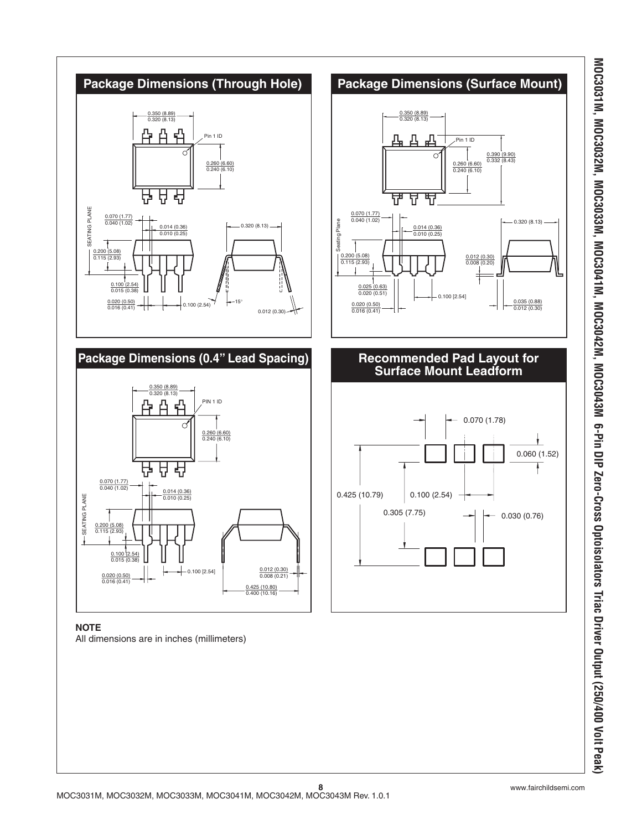

### **NOTE**

All dimensions are in inches (millimeters)

MOC3031M, MOC3032M, MOC3033M, MOC3041M, MOC3042M, MOC3043M 6-Pin DIP Zero-Cross Optoisolators Triac Driver Output (250/400 Volt Peak **MOC3031M, MOC3032M, MOC3033M, MOC3041M, MOC3042M, MOC3043M 6-Pin DIP Zero-Cross Optoisolators Triac Driver Output (250/400 Volt Peak)**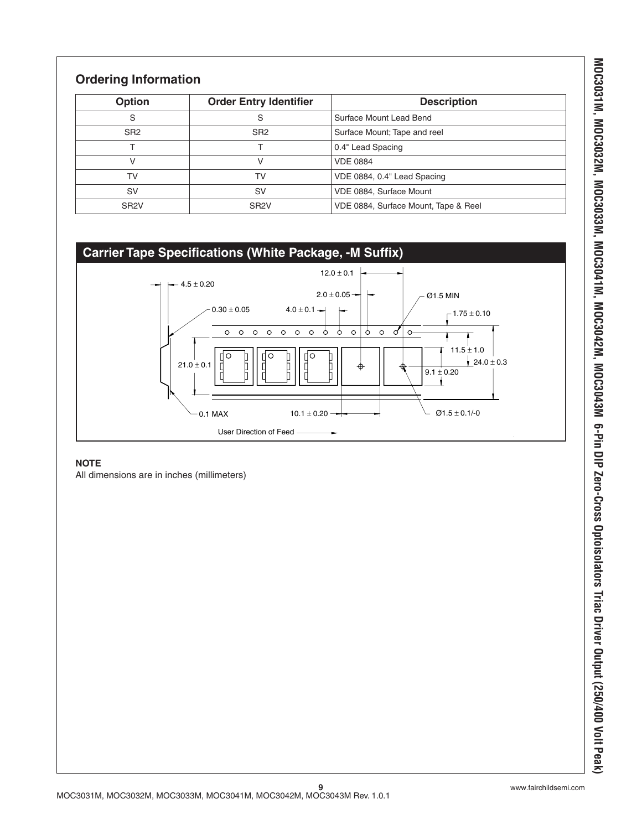## **Ordering Information**

| Option            | <b>Order Entry Identifier</b> | <b>Description</b>                   |
|-------------------|-------------------------------|--------------------------------------|
| S                 | S                             | Surface Mount Lead Bend              |
| SR <sub>2</sub>   | SR <sub>2</sub>               | Surface Mount; Tape and reel         |
|                   |                               | 0.4" Lead Spacing                    |
|                   |                               | <b>VDE 0884</b>                      |
| T٧                | TV                            | VDE 0884, 0.4" Lead Spacing          |
| SV                | <b>SV</b>                     | VDE 0884, Surface Mount              |
| SR <sub>2</sub> V | SR <sub>2</sub> V             | VDE 0884, Surface Mount, Tape & Reel |

### **Carrier Tape Specifications (White Package, -M Suffix)**



### **NOTE**

All dimensions are in inches (millimeters)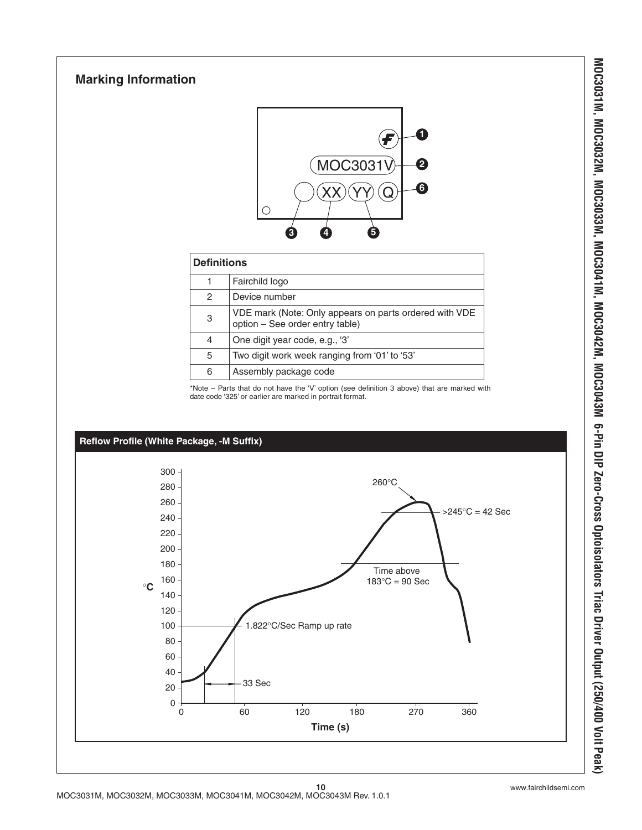## **Marking Information**



### **Definitions**

|   | Fairchild logo                                                                            |
|---|-------------------------------------------------------------------------------------------|
| 2 | Device number                                                                             |
| 3 | VDE mark (Note: Only appears on parts ordered with VDE<br>option - See order entry table) |
| 4 | One digit year code, e.g., '3'                                                            |
| 5 | Two digit work week ranging from '01' to '53'                                             |
| 6 | Assembly package code                                                                     |

\*Note – Parts that do not have the 'V' option (see definition 3 above) that are marked with date code '325' or earlier are marked in portrait format.